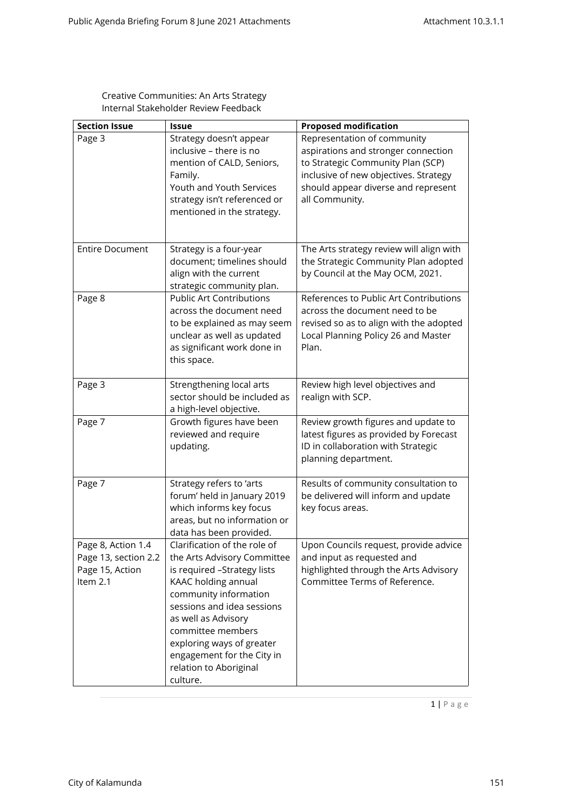| <b>Section Issue</b>                                                      | <b>Issue</b>                                                                                                                                                                                                                                                                                                          | <b>Proposed modification</b>                                                                                                                                                                              |
|---------------------------------------------------------------------------|-----------------------------------------------------------------------------------------------------------------------------------------------------------------------------------------------------------------------------------------------------------------------------------------------------------------------|-----------------------------------------------------------------------------------------------------------------------------------------------------------------------------------------------------------|
| Page 3                                                                    | Strategy doesn't appear<br>inclusive - there is no<br>mention of CALD, Seniors,<br>Family.<br>Youth and Youth Services<br>strategy isn't referenced or<br>mentioned in the strategy.                                                                                                                                  | Representation of community<br>aspirations and stronger connection<br>to Strategic Community Plan (SCP)<br>inclusive of new objectives. Strategy<br>should appear diverse and represent<br>all Community. |
| <b>Entire Document</b>                                                    | Strategy is a four-year<br>document; timelines should<br>align with the current<br>strategic community plan.                                                                                                                                                                                                          | The Arts strategy review will align with<br>the Strategic Community Plan adopted<br>by Council at the May OCM, 2021.                                                                                      |
| Page 8                                                                    | <b>Public Art Contributions</b><br>across the document need<br>to be explained as may seem<br>unclear as well as updated<br>as significant work done in<br>this space.                                                                                                                                                | References to Public Art Contributions<br>across the document need to be<br>revised so as to align with the adopted<br>Local Planning Policy 26 and Master<br>Plan.                                       |
| Page 3                                                                    | Strengthening local arts<br>sector should be included as<br>a high-level objective.                                                                                                                                                                                                                                   | Review high level objectives and<br>realign with SCP.                                                                                                                                                     |
| Page 7                                                                    | Growth figures have been<br>reviewed and require<br>updating.                                                                                                                                                                                                                                                         | Review growth figures and update to<br>latest figures as provided by Forecast<br>ID in collaboration with Strategic<br>planning department.                                                               |
| Page 7                                                                    | Strategy refers to 'arts<br>forum' held in January 2019<br>which informs key focus<br>areas, but no information or<br>data has been provided.                                                                                                                                                                         | Results of community consultation to<br>be delivered will inform and update<br>key focus areas.                                                                                                           |
| Page 8, Action 1.4<br>Page 13, section 2.2<br>Page 15, Action<br>Item 2.1 | Clarification of the role of<br>the Arts Advisory Committee<br>is required -Strategy lists<br>KAAC holding annual<br>community information<br>sessions and idea sessions<br>as well as Advisory<br>committee members<br>exploring ways of greater<br>engagement for the City in<br>relation to Aboriginal<br>culture. | Upon Councils request, provide advice<br>and input as requested and<br>highlighted through the Arts Advisory<br>Committee Terms of Reference.                                                             |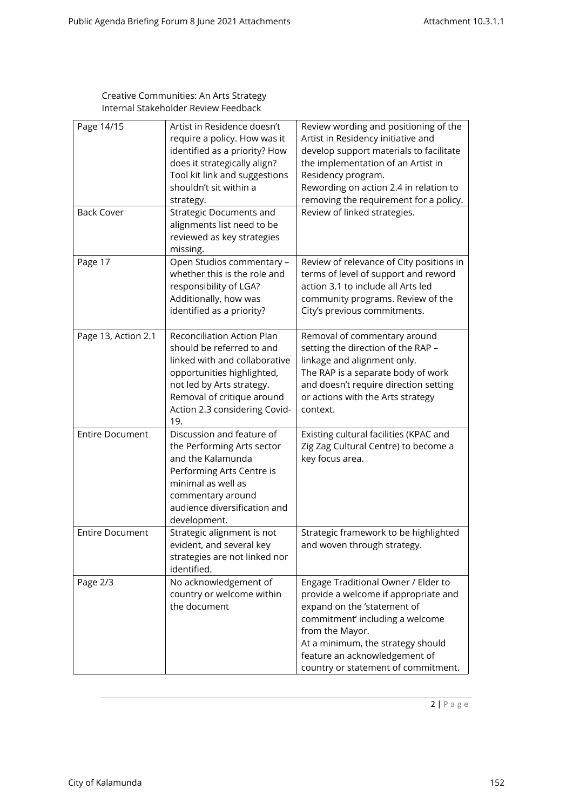| Page 14/15<br><b>Back Cover</b> | Artist in Residence doesn't<br>require a policy. How was it<br>identified as a priority? How<br>does it strategically align?<br>Tool kit link and suggestions<br>shouldn't sit within a<br>strategy.<br><b>Strategic Documents and</b><br>alignments list need to be<br>reviewed as key strategies<br>missing. | Review wording and positioning of the<br>Artist in Residency initiative and<br>develop support materials to facilitate<br>the implementation of an Artist in<br>Residency program.<br>Rewording on action 2.4 in relation to<br>removing the requirement for a policy.<br>Review of linked strategies. |
|---------------------------------|----------------------------------------------------------------------------------------------------------------------------------------------------------------------------------------------------------------------------------------------------------------------------------------------------------------|--------------------------------------------------------------------------------------------------------------------------------------------------------------------------------------------------------------------------------------------------------------------------------------------------------|
| Page 17                         | Open Studios commentary -<br>whether this is the role and<br>responsibility of LGA?<br>Additionally, how was<br>identified as a priority?                                                                                                                                                                      | Review of relevance of City positions in<br>terms of level of support and reword<br>action 3.1 to include all Arts led<br>community programs. Review of the<br>City's previous commitments.                                                                                                            |
| Page 13, Action 2.1             | Reconciliation Action Plan<br>should be referred to and<br>linked with and collaborative<br>opportunities highlighted,<br>not led by Arts strategy.<br>Removal of critique around<br>Action 2.3 considering Covid-<br>19.                                                                                      | Removal of commentary around<br>setting the direction of the RAP -<br>linkage and alignment only.<br>The RAP is a separate body of work<br>and doesn't require direction setting<br>or actions with the Arts strategy<br>context.                                                                      |
| <b>Entire Document</b>          | Discussion and feature of<br>the Performing Arts sector<br>and the Kalamunda<br>Performing Arts Centre is<br>minimal as well as<br>commentary around<br>audience diversification and<br>development.                                                                                                           | Existing cultural facilities (KPAC and<br>Zig Zag Cultural Centre) to become a<br>key focus area.                                                                                                                                                                                                      |
| <b>Entire Document</b>          | Strategic alignment is not<br>evident, and several key<br>strategies are not linked nor<br>identified.                                                                                                                                                                                                         | Strategic framework to be highlighted<br>and woven through strategy.                                                                                                                                                                                                                                   |
| Page 2/3                        | No acknowledgement of<br>country or welcome within<br>the document                                                                                                                                                                                                                                             | Engage Traditional Owner / Elder to<br>provide a welcome if appropriate and<br>expand on the 'statement of<br>commitment' including a welcome<br>from the Mayor.<br>At a minimum, the strategy should<br>feature an acknowledgement of<br>country or statement of commitment.                          |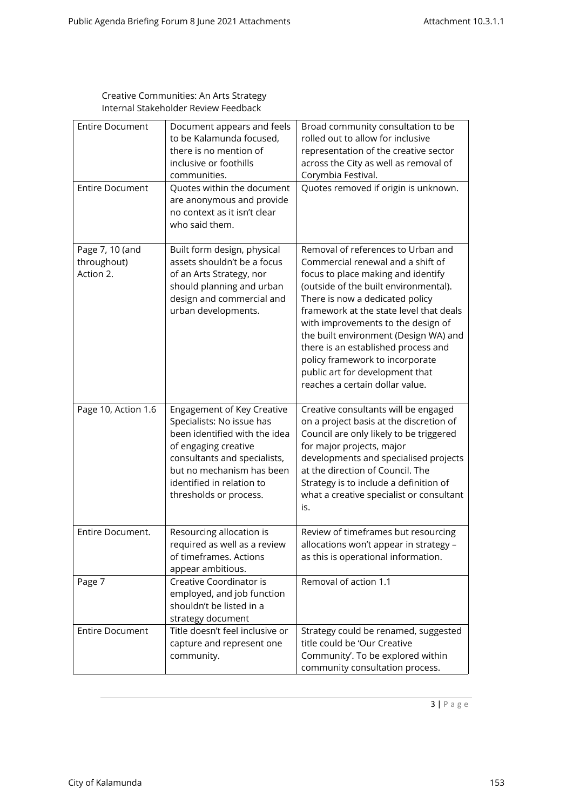| <b>Entire Document</b><br><b>Entire Document</b> | Document appears and feels<br>to be Kalamunda focused,<br>there is no mention of<br>inclusive or foothills<br>communities.<br>Quotes within the document                                                                             | Broad community consultation to be<br>rolled out to allow for inclusive<br>representation of the creative sector<br>across the City as well as removal of<br>Corymbia Festival.<br>Quotes removed if origin is unknown.                                                                                                                                                                                                                                             |
|--------------------------------------------------|--------------------------------------------------------------------------------------------------------------------------------------------------------------------------------------------------------------------------------------|---------------------------------------------------------------------------------------------------------------------------------------------------------------------------------------------------------------------------------------------------------------------------------------------------------------------------------------------------------------------------------------------------------------------------------------------------------------------|
|                                                  | are anonymous and provide<br>no context as it isn't clear<br>who said them.                                                                                                                                                          |                                                                                                                                                                                                                                                                                                                                                                                                                                                                     |
| Page 7, 10 (and<br>throughout)<br>Action 2.      | Built form design, physical<br>assets shouldn't be a focus<br>of an Arts Strategy, nor<br>should planning and urban<br>design and commercial and<br>urban developments.                                                              | Removal of references to Urban and<br>Commercial renewal and a shift of<br>focus to place making and identify<br>(outside of the built environmental).<br>There is now a dedicated policy<br>framework at the state level that deals<br>with improvements to the design of<br>the built environment (Design WA) and<br>there is an established process and<br>policy framework to incorporate<br>public art for development that<br>reaches a certain dollar value. |
| Page 10, Action 1.6                              | Engagement of Key Creative<br>Specialists: No issue has<br>been identified with the idea<br>of engaging creative<br>consultants and specialists,<br>but no mechanism has been<br>identified in relation to<br>thresholds or process. | Creative consultants will be engaged<br>on a project basis at the discretion of<br>Council are only likely to be triggered<br>for major projects, major<br>developments and specialised projects<br>at the direction of Council. The<br>Strategy is to include a definition of<br>what a creative specialist or consultant<br>is.                                                                                                                                   |
| Entire Document.                                 | Resourcing allocation is<br>required as well as a review<br>of timeframes. Actions<br>appear ambitious.                                                                                                                              | Review of timeframes but resourcing<br>allocations won't appear in strategy -<br>as this is operational information.                                                                                                                                                                                                                                                                                                                                                |
| Page 7                                           | Creative Coordinator is<br>employed, and job function<br>shouldn't be listed in a<br>strategy document                                                                                                                               | Removal of action 1.1                                                                                                                                                                                                                                                                                                                                                                                                                                               |
| <b>Entire Document</b>                           | Title doesn't feel inclusive or<br>capture and represent one<br>community.                                                                                                                                                           | Strategy could be renamed, suggested<br>title could be 'Our Creative<br>Community'. To be explored within<br>community consultation process.                                                                                                                                                                                                                                                                                                                        |